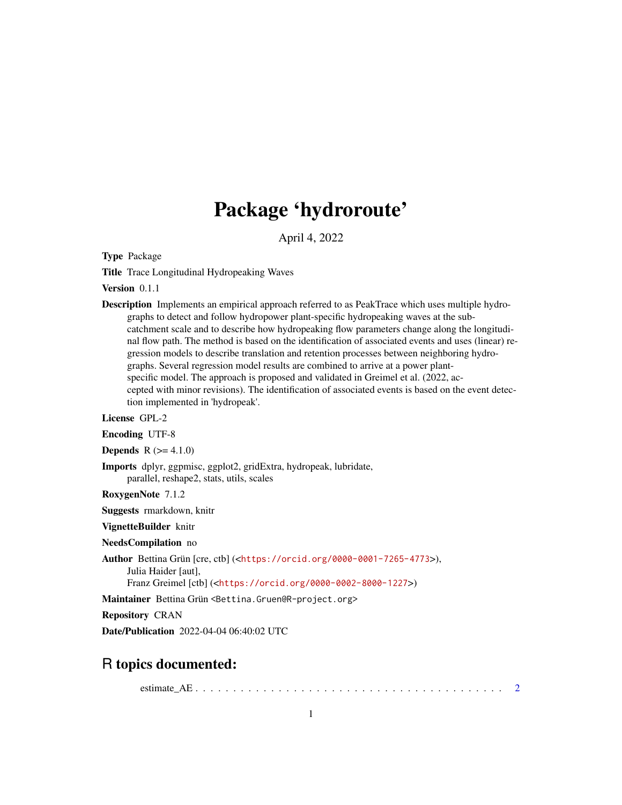# Package 'hydroroute'

April 4, 2022

<span id="page-0-0"></span>Type Package

Title Trace Longitudinal Hydropeaking Waves

Version 0.1.1

Description Implements an empirical approach referred to as PeakTrace which uses multiple hydrographs to detect and follow hydropower plant-specific hydropeaking waves at the subcatchment scale and to describe how hydropeaking flow parameters change along the longitudinal flow path. The method is based on the identification of associated events and uses (linear) regression models to describe translation and retention processes between neighboring hydrographs. Several regression model results are combined to arrive at a power plantspecific model. The approach is proposed and validated in Greimel et al. (2022, accepted with minor revisions). The identification of associated events is based on the event detection implemented in 'hydropeak'.

License GPL-2

Encoding UTF-8

**Depends** R  $(>= 4.1.0)$ 

Imports dplyr, ggpmisc, ggplot2, gridExtra, hydropeak, lubridate, parallel, reshape2, stats, utils, scales

RoxygenNote 7.1.2

Suggests rmarkdown, knitr

VignetteBuilder knitr

NeedsCompilation no

Author Bettina Grün [cre, ctb] (<<https://orcid.org/0000-0001-7265-4773>>),

Julia Haider [aut],

Franz Greimel [ctb] (<<https://orcid.org/0000-0002-8000-1227>>)

Maintainer Bettina Grün <Bettina.Gruen@R-project.org>

Repository CRAN

Date/Publication 2022-04-04 06:40:02 UTC

# R topics documented:

estimate\_AE . . . . . . . . . . . . . . . . . . . . . . . . . . . . . . . . . . . . . . . . . [2](#page-1-0)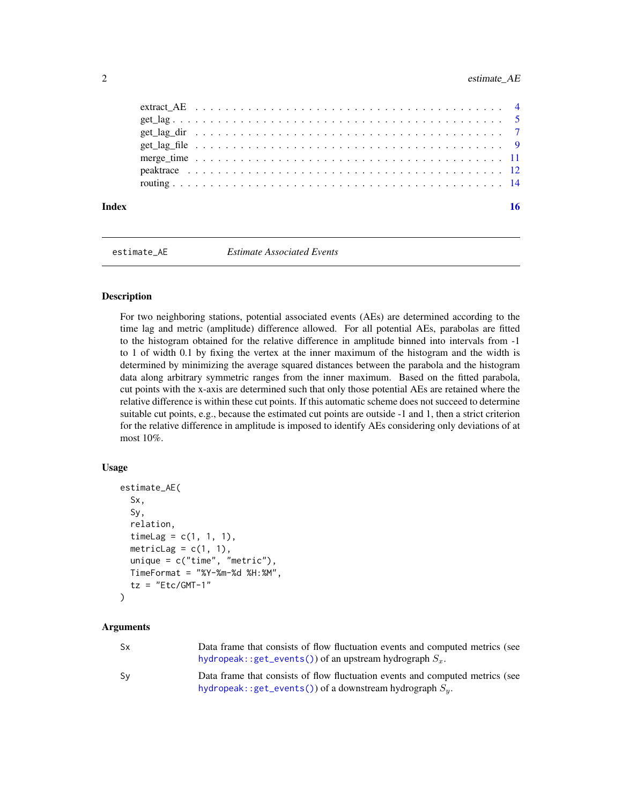<span id="page-1-0"></span>

| Index |  |  |  |  |  |  |  |  |  |  |  |  |  |  |  |  |  |  |
|-------|--|--|--|--|--|--|--|--|--|--|--|--|--|--|--|--|--|--|
|       |  |  |  |  |  |  |  |  |  |  |  |  |  |  |  |  |  |  |
|       |  |  |  |  |  |  |  |  |  |  |  |  |  |  |  |  |  |  |
|       |  |  |  |  |  |  |  |  |  |  |  |  |  |  |  |  |  |  |
|       |  |  |  |  |  |  |  |  |  |  |  |  |  |  |  |  |  |  |
|       |  |  |  |  |  |  |  |  |  |  |  |  |  |  |  |  |  |  |
|       |  |  |  |  |  |  |  |  |  |  |  |  |  |  |  |  |  |  |
|       |  |  |  |  |  |  |  |  |  |  |  |  |  |  |  |  |  |  |

<span id="page-1-1"></span>

estimate\_AE *Estimate Associated Events*

# **Description**

For two neighboring stations, potential associated events (AEs) are determined according to the time lag and metric (amplitude) difference allowed. For all potential AEs, parabolas are fitted to the histogram obtained for the relative difference in amplitude binned into intervals from -1 to 1 of width 0.1 by fixing the vertex at the inner maximum of the histogram and the width is determined by minimizing the average squared distances between the parabola and the histogram data along arbitrary symmetric ranges from the inner maximum. Based on the fitted parabola, cut points with the x-axis are determined such that only those potential AEs are retained where the relative difference is within these cut points. If this automatic scheme does not succeed to determine suitable cut points, e.g., because the estimated cut points are outside -1 and 1, then a strict criterion for the relative difference in amplitude is imposed to identify AEs considering only deviations of at most 10%.

#### Usage

```
estimate_AE(
  Sx,
  Sy,
  relation,
  timeLag = c(1, 1, 1),metricLag = c(1, 1),
 unique = c("time", "metric"),TimeFormat = "%Y-%m-%d %H:%M",
  tz = "Etc/GMT-1")
```
#### Arguments

| <b>Sx</b> | Data frame that consists of flow fluctuation events and computed metrics (see<br>hydropeak:: $get_events()$ of an upstream hydrograph $S_r$ . |
|-----------|-----------------------------------------------------------------------------------------------------------------------------------------------|
| Sv        | Data frame that consists of flow fluctuation events and computed metrics (see<br>hydropeak::get_events()) of a downstream hydrograph $S_u$ .  |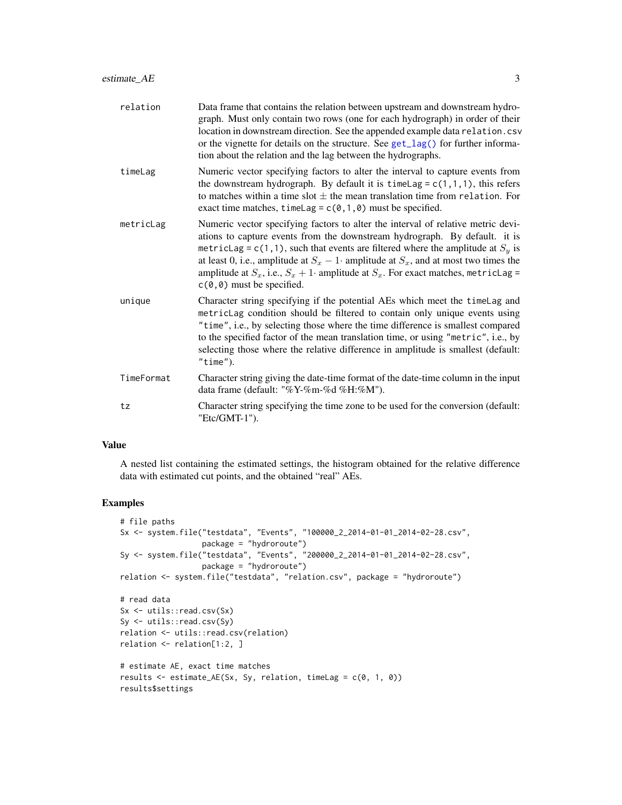<span id="page-2-0"></span>

| relation   | Data frame that contains the relation between upstream and downstream hydro-<br>graph. Must only contain two rows (one for each hydrograph) in order of their<br>location in downstream direction. See the appended example data relation.csv<br>or the vignette for details on the structure. See get_lag() for further informa-<br>tion about the relation and the lag between the hydrographs.                                                                         |
|------------|---------------------------------------------------------------------------------------------------------------------------------------------------------------------------------------------------------------------------------------------------------------------------------------------------------------------------------------------------------------------------------------------------------------------------------------------------------------------------|
| timeLag    | Numeric vector specifying factors to alter the interval to capture events from<br>the downstream hydrograph. By default it is timelag = $c(1,1,1)$ , this refers<br>to matches within a time slot $\pm$ the mean translation time from relation. For<br>exact time matches, timeLag = $c(0,1,0)$ must be specified.                                                                                                                                                       |
| metricLag  | Numeric vector specifying factors to alter the interval of relative metric devi-<br>ations to capture events from the downstream hydrograph. By default. it is<br>metricLag = c(1,1), such that events are filtered where the amplitude at $Sy$ is<br>at least 0, i.e., amplitude at $S_x - 1$ amplitude at $S_x$ , and at most two times the<br>amplitude at $S_x$ , i.e., $S_x + 1$ amplitude at $S_x$ . For exact matches, metricLag =<br>$c(0, 0)$ must be specified. |
| unique     | Character string specifying if the potential AEs which meet the timelag and<br>metricLag condition should be filtered to contain only unique events using<br>"time", i.e., by selecting those where the time difference is smallest compared<br>to the specified factor of the mean translation time, or using "metric", i.e., by<br>selecting those where the relative difference in amplitude is smallest (default:<br>"time").                                         |
| TimeFormat | Character string giving the date-time format of the date-time column in the input<br>data frame (default: "%Y-%m-%d %H:%M").                                                                                                                                                                                                                                                                                                                                              |
| tz         | Character string specifying the time zone to be used for the conversion (default:<br>"Etc/GMT-1").                                                                                                                                                                                                                                                                                                                                                                        |

#### Value

A nested list containing the estimated settings, the histogram obtained for the relative difference data with estimated cut points, and the obtained "real" AEs.

# Examples

```
# file paths
Sx <- system.file("testdata", "Events", "100000_2_2014-01-01_2014-02-28.csv",
                 package = "hydroroute")
Sy <- system.file("testdata", "Events", "200000_2_2014-01-01_2014-02-28.csv",
                 package = "hydroroute")
relation <- system.file("testdata", "relation.csv", package = "hydroroute")
# read data
Sx <- utils::read.csv(Sx)
Sy <- utils::read.csv(Sy)
relation <- utils::read.csv(relation)
relation <- relation[1:2, ]
# estimate AE, exact time matches
results <- estimate_AE(Sx, Sy, relation, timeLag = c(0, 1, 0))
results$settings
```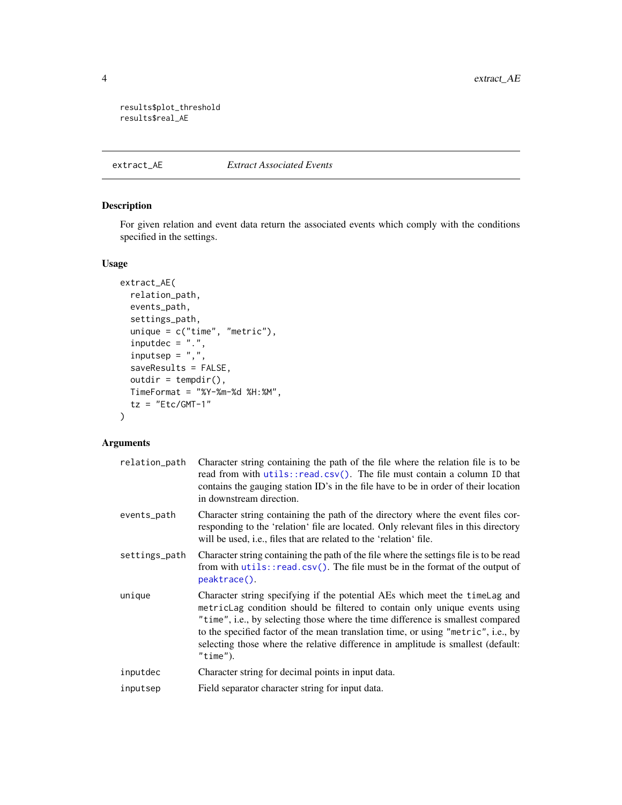```
results$plot_threshold
results$real_AE
```
#### extract\_AE *Extract Associated Events*

# Description

For given relation and event data return the associated events which comply with the conditions specified in the settings.

#### Usage

```
extract_AE(
  relation_path,
 events_path,
  settings_path,
  unique = c("time", "metric"),
  inputdec = "."inputsep = ","saveResults = FALSE,
  outdir = tempdir(),TimeFormat = "%Y-%m-%d %H:%M",
  tz = "Etc/GMT-1"\mathcal{L}
```
### Arguments

| relation_path | Character string containing the path of the file where the relation file is to be<br>read from with utils::read.csv(). The file must contain a column ID that<br>contains the gauging station ID's in the file have to be in order of their location<br>in downstream direction.                                                                                                                                                   |
|---------------|------------------------------------------------------------------------------------------------------------------------------------------------------------------------------------------------------------------------------------------------------------------------------------------------------------------------------------------------------------------------------------------------------------------------------------|
| events_path   | Character string containing the path of the directory where the event files cor-<br>responding to the 'relation' file are located. Only relevant files in this directory<br>will be used, i.e., files that are related to the 'relation' file.                                                                                                                                                                                     |
| settings_path | Character string containing the path of the file where the settings file is to be read<br>from with utils::read.csv(). The file must be in the format of the output of<br>peaktrace().                                                                                                                                                                                                                                             |
| unique        | Character string specifying if the potential AEs which meet the time Lag and<br>metricLag condition should be filtered to contain only unique events using<br>"time", i.e., by selecting those where the time difference is smallest compared<br>to the specified factor of the mean translation time, or using "metric", i.e., by<br>selecting those where the relative difference in amplitude is smallest (default:<br>"time"). |
| inputdec      | Character string for decimal points in input data.                                                                                                                                                                                                                                                                                                                                                                                 |
| inputsep      | Field separator character string for input data.                                                                                                                                                                                                                                                                                                                                                                                   |
|               |                                                                                                                                                                                                                                                                                                                                                                                                                                    |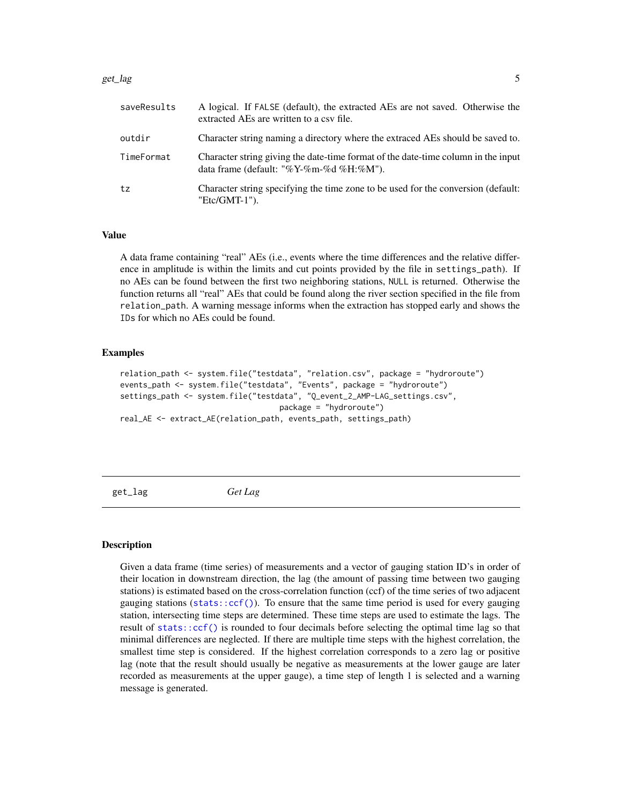#### <span id="page-4-0"></span> $get \_lag$  5

| saveResults | A logical. If FALSE (default), the extracted AEs are not saved. Otherwise the<br>extracted AEs are written to a csy file.    |
|-------------|------------------------------------------------------------------------------------------------------------------------------|
| outdir      | Character string naming a directory where the extraced AEs should be saved to.                                               |
| TimeFormat  | Character string giving the date-time format of the date-time column in the input<br>data frame (default: "%Y-%m-%d %H:%M"). |
| tz          | Character string specifying the time zone to be used for the conversion (default:<br>"Etc/GMT-1").                           |

#### Value

A data frame containing "real" AEs (i.e., events where the time differences and the relative difference in amplitude is within the limits and cut points provided by the file in settings\_path). If no AEs can be found between the first two neighboring stations, NULL is returned. Otherwise the function returns all "real" AEs that could be found along the river section specified in the file from relation\_path. A warning message informs when the extraction has stopped early and shows the IDs for which no AEs could be found.

#### Examples

```
relation_path <- system.file("testdata", "relation.csv", package = "hydroroute")
events_path <- system.file("testdata", "Events", package = "hydroroute")
settings_path <- system.file("testdata", "Q_event_2_AMP-LAG_settings.csv",
                                   package = "hydroroute")
real_AE <- extract_AE(relation_path, events_path, settings_path)
```
<span id="page-4-1"></span>get\_lag *Get Lag*

#### **Description**

Given a data frame (time series) of measurements and a vector of gauging station ID's in order of their location in downstream direction, the lag (the amount of passing time between two gauging stations) is estimated based on the cross-correlation function (ccf) of the time series of two adjacent gauging stations (stats:: $ccf()$ ). To ensure that the same time period is used for every gauging station, intersecting time steps are determined. These time steps are used to estimate the lags. The result of [stats::ccf\(\)](#page-0-0) is rounded to four decimals before selecting the optimal time lag so that minimal differences are neglected. If there are multiple time steps with the highest correlation, the smallest time step is considered. If the highest correlation corresponds to a zero lag or positive lag (note that the result should usually be negative as measurements at the lower gauge are later recorded as measurements at the upper gauge), a time step of length 1 is selected and a warning message is generated.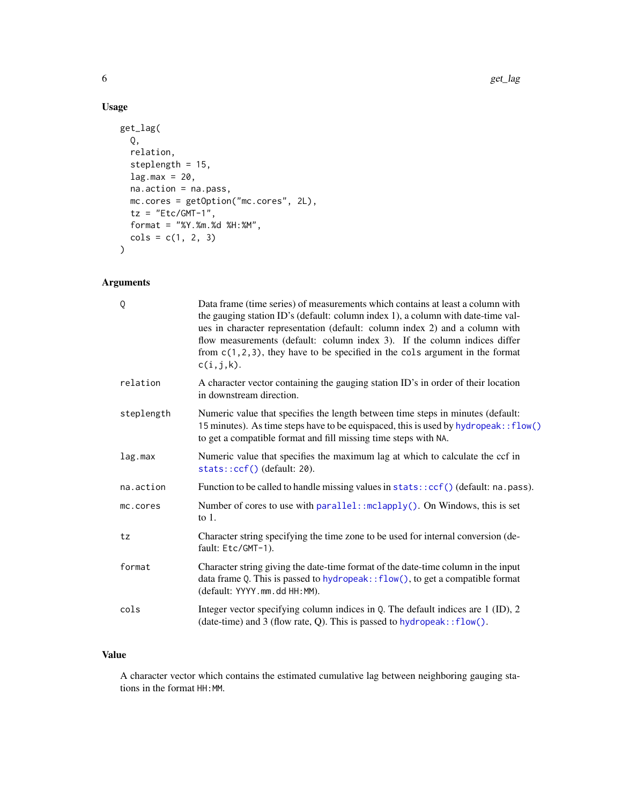# Usage

```
get_lag(
 Q,
 relation,
 steplength = 15,
 lag.max = 20,na.action = na.pass,
 mc.cores = getOption("mc.cores", 2L),
 tz = "Etc/GMT-1",format = "%Y.%m.%d %H:%M",
 cols = c(1, 2, 3))
```
# Arguments

| Q          | Data frame (time series) of measurements which contains at least a column with<br>the gauging station ID's (default: column index 1), a column with date-time val-<br>ues in character representation (default: column index 2) and a column with<br>flow measurements (default: column index 3). If the column indices differ<br>from $c(1, 2, 3)$ , they have to be specified in the cols argument in the format<br>$c(i,j,k)$ . |
|------------|------------------------------------------------------------------------------------------------------------------------------------------------------------------------------------------------------------------------------------------------------------------------------------------------------------------------------------------------------------------------------------------------------------------------------------|
| relation   | A character vector containing the gauging station ID's in order of their location<br>in downstream direction.                                                                                                                                                                                                                                                                                                                      |
| steplength | Numeric value that specifies the length between time steps in minutes (default:<br>15 minutes). As time steps have to be equispaced, this is used by hydropeak:: flow()<br>to get a compatible format and fill missing time steps with NA.                                                                                                                                                                                         |
| lag.max    | Numeric value that specifies the maximum lag at which to calculate the ccf in<br>stats::ccf()(default: 20).                                                                                                                                                                                                                                                                                                                        |
| na.action  | Function to be called to handle missing values in stats::ccf() (default: na.pass).                                                                                                                                                                                                                                                                                                                                                 |
| mc.cores   | Number of cores to use with parallel:: mclapply(). On Windows, this is set<br>to $1$ .                                                                                                                                                                                                                                                                                                                                             |
| tz         | Character string specifying the time zone to be used for internal conversion (de-<br>fault: Etc/GMT-1).                                                                                                                                                                                                                                                                                                                            |
| format     | Character string giving the date-time format of the date-time column in the input<br>data frame Q. This is passed to $hydropeak::flow(),$ to get a compatible format<br>(default: YYYY.mm.dd HH:MM).                                                                                                                                                                                                                               |
| cols       | Integer vector specifying column indices in Q. The default indices are 1 (ID), 2<br>(date-time) and $3$ (flow rate, Q). This is passed to hydropeak:: $flow()$ .                                                                                                                                                                                                                                                                   |

# Value

A character vector which contains the estimated cumulative lag between neighboring gauging stations in the format HH:MM.

<span id="page-5-0"></span>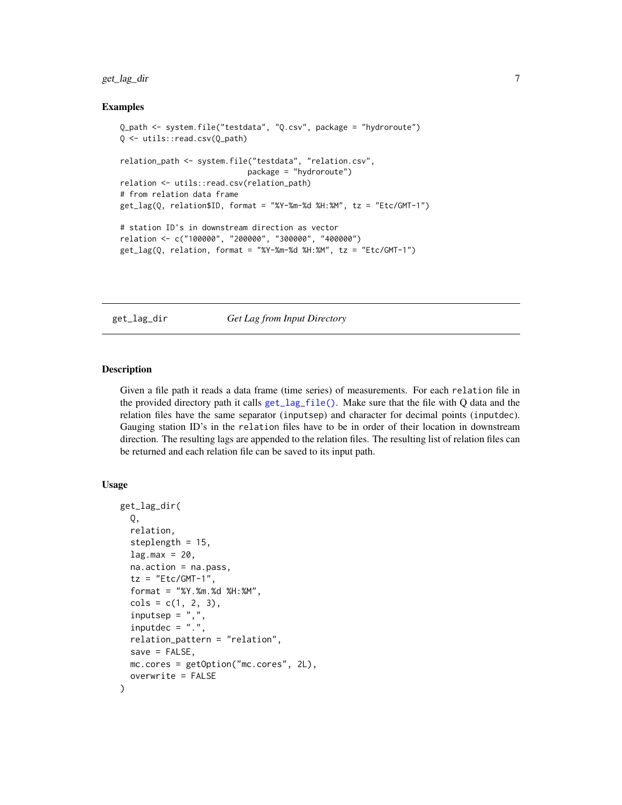# <span id="page-6-0"></span>get\_lag\_dir 7

#### Examples

```
Q_path <- system.file("testdata", "Q.csv", package = "hydroroute")
Q <- utils::read.csv(Q_path)
relation_path <- system.file("testdata", "relation.csv",
                            package = "hydroroute")
relation <- utils::read.csv(relation_path)
# from relation data frame
get_lag(Q, relation$ID, format = "%Y-%m-%d %H:%M", tz = "Etc/GMT-1")
# station ID's in downstream direction as vector
relation <- c("100000", "200000", "300000", "400000")
get_lag(Q, relation, format = "%Y-%m-%d %H:%M", tz = "Etc/GMT-1")
```
get\_lag\_dir *Get Lag from Input Directory*

#### Description

Given a file path it reads a data frame (time series) of measurements. For each relation file in the provided directory path it calls [get\\_lag\\_file\(\)](#page-8-1). Make sure that the file with Q data and the relation files have the same separator (inputsep) and character for decimal points (inputdec). Gauging station ID's in the relation files have to be in order of their location in downstream direction. The resulting lags are appended to the relation files. The resulting list of relation files can be returned and each relation file can be saved to its input path.

#### Usage

```
get_lag_dir(
 Q,
 relation,
  steplength = 15,
  lag.max = 20,
 na.action = na.pass,
  tz = "Etc/GMT-1",format = "%Y.%m.%d %H:%M",
  cols = c(1, 2, 3),inputsep = ","inputdec = "."relation_pattern = "relation",
  save = FALSE,
 mc.cores = getOption("mc.cores", 2L),
 overwrite = FALSE
)
```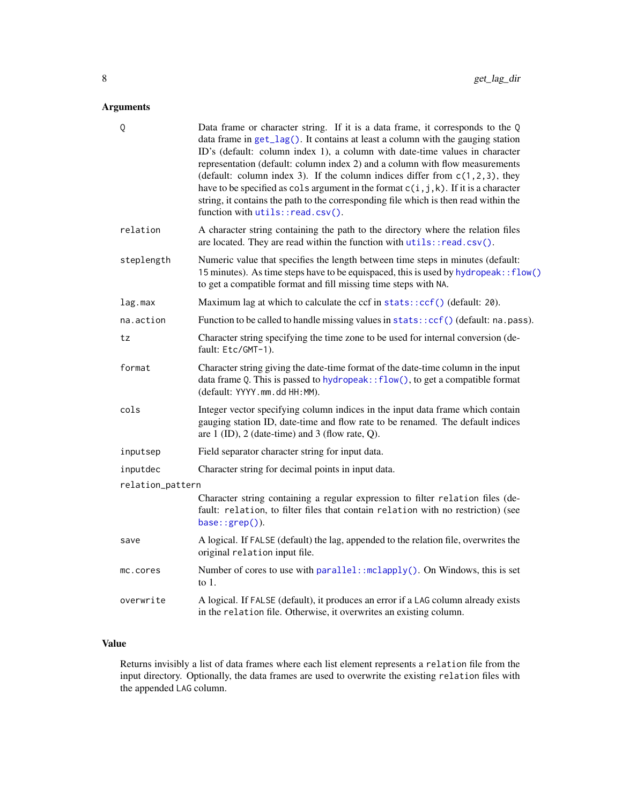# <span id="page-7-0"></span>Arguments

| Q                | Data frame or character string. If it is a data frame, it corresponds to the Q<br>data frame in $get\_lag()$ . It contains at least a column with the gauging station<br>ID's (default: column index 1), a column with date-time values in character<br>representation (default: column index 2) and a column with flow measurements<br>(default: column index 3). If the column indices differ from $c(1,2,3)$ , they<br>have to be specified as cols argument in the format $c(i, j, k)$ . If it is a character<br>string, it contains the path to the corresponding file which is then read within the<br>function with utils::read.csv(). |
|------------------|-----------------------------------------------------------------------------------------------------------------------------------------------------------------------------------------------------------------------------------------------------------------------------------------------------------------------------------------------------------------------------------------------------------------------------------------------------------------------------------------------------------------------------------------------------------------------------------------------------------------------------------------------|
| relation         | A character string containing the path to the directory where the relation files<br>are located. They are read within the function with utils::read.csv().                                                                                                                                                                                                                                                                                                                                                                                                                                                                                    |
| steplength       | Numeric value that specifies the length between time steps in minutes (default:<br>15 minutes). As time steps have to be equispaced, this is used by hydropeak:: flow()<br>to get a compatible format and fill missing time steps with NA.                                                                                                                                                                                                                                                                                                                                                                                                    |
| lag.max          | Maximum lag at which to calculate the ccf in stats:: ccf() (default: 20).                                                                                                                                                                                                                                                                                                                                                                                                                                                                                                                                                                     |
| na.action        | Function to be called to handle missing values in stats:: ccf() (default: na.pass).                                                                                                                                                                                                                                                                                                                                                                                                                                                                                                                                                           |
| tz               | Character string specifying the time zone to be used for internal conversion (de-<br>fault: Etc/GMT-1).                                                                                                                                                                                                                                                                                                                                                                                                                                                                                                                                       |
| format           | Character string giving the date-time format of the date-time column in the input<br>data frame Q. This is passed to hydropeak:: flow(), to get a compatible format<br>(default: YYYY.mm.dd HH:MM).                                                                                                                                                                                                                                                                                                                                                                                                                                           |
| cols             | Integer vector specifying column indices in the input data frame which contain<br>gauging station ID, date-time and flow rate to be renamed. The default indices<br>are $1$ (ID), $2$ (date-time) and $3$ (flow rate, Q).                                                                                                                                                                                                                                                                                                                                                                                                                     |
| inputsep         | Field separator character string for input data.                                                                                                                                                                                                                                                                                                                                                                                                                                                                                                                                                                                              |
| inputdec         | Character string for decimal points in input data.                                                                                                                                                                                                                                                                                                                                                                                                                                                                                                                                                                                            |
| relation_pattern |                                                                                                                                                                                                                                                                                                                                                                                                                                                                                                                                                                                                                                               |
|                  | Character string containing a regular expression to filter relation files (de-<br>fault: relation, to filter files that contain relation with no restriction) (see<br>base::grep()).                                                                                                                                                                                                                                                                                                                                                                                                                                                          |
| save             | A logical. If FALSE (default) the lag, appended to the relation file, overwrites the<br>original relation input file.                                                                                                                                                                                                                                                                                                                                                                                                                                                                                                                         |
| mc.cores         | Number of cores to use with parallel:: mclapply(). On Windows, this is set<br>to $1$ .                                                                                                                                                                                                                                                                                                                                                                                                                                                                                                                                                        |
| overwrite        | A logical. If FALSE (default), it produces an error if a LAG column already exists<br>in the relation file. Otherwise, it overwrites an existing column.                                                                                                                                                                                                                                                                                                                                                                                                                                                                                      |
|                  |                                                                                                                                                                                                                                                                                                                                                                                                                                                                                                                                                                                                                                               |

# Value

Returns invisibly a list of data frames where each list element represents a relation file from the input directory. Optionally, the data frames are used to overwrite the existing relation files with the appended LAG column.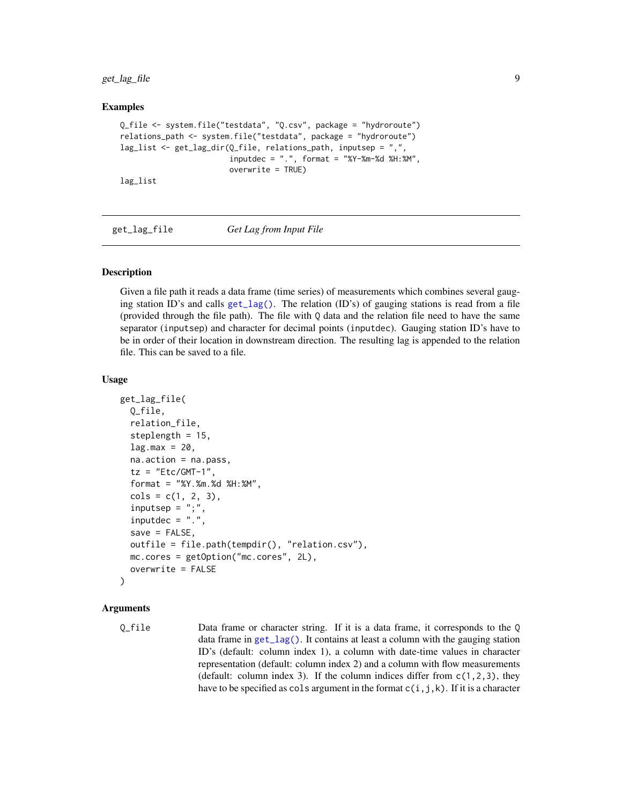<span id="page-8-0"></span>get\_lag\_file 9

#### Examples

```
Q_file <- system.file("testdata", "Q.csv", package = "hydroroute")
relations_path <- system.file("testdata", package = "hydroroute")
lag_list <- get_lag_dir(Q_file, relations_path, inputsep = ",",
                        inputdec = ".", format = "%Y-%m-%d %H:%M",
                        overwrite = TRUE)
lag_list
```
<span id="page-8-1"></span>get\_lag\_file *Get Lag from Input File*

#### Description

Given a file path it reads a data frame (time series) of measurements which combines several gauging station ID's and calls [get\\_lag\(\)](#page-4-1). The relation (ID's) of gauging stations is read from a file (provided through the file path). The file with Q data and the relation file need to have the same separator (inputsep) and character for decimal points (inputdec). Gauging station ID's have to be in order of their location in downstream direction. The resulting lag is appended to the relation file. This can be saved to a file.

#### Usage

```
get_lag_file(
  Q_file,
  relation_file,
  steplength = 15,
  lag.max = 20,na.action = na.pass,
  tz = "Etc/GMT-1",format = "%Y.%m.%d %H:%M",
  cols = c(1, 2, 3),inputsep = ";",
  inputdec = "."save = FALSE,
  outfile = file.path(tempdir(), "relation.csv"),
 mc.cores = getOption("mc.cores", 2L),
  overwrite = FALSE
)
```
#### Arguments

Q\_file Data frame or character string. If it is a data frame, it corresponds to the Q data frame in [get\\_lag\(\)](#page-4-1). It contains at least a column with the gauging station ID's (default: column index 1), a column with date-time values in character representation (default: column index 2) and a column with flow measurements (default: column index 3). If the column indices differ from  $c(1,2,3)$ , they have to be specified as cols argument in the format  $c(i,j,k)$ . If it is a character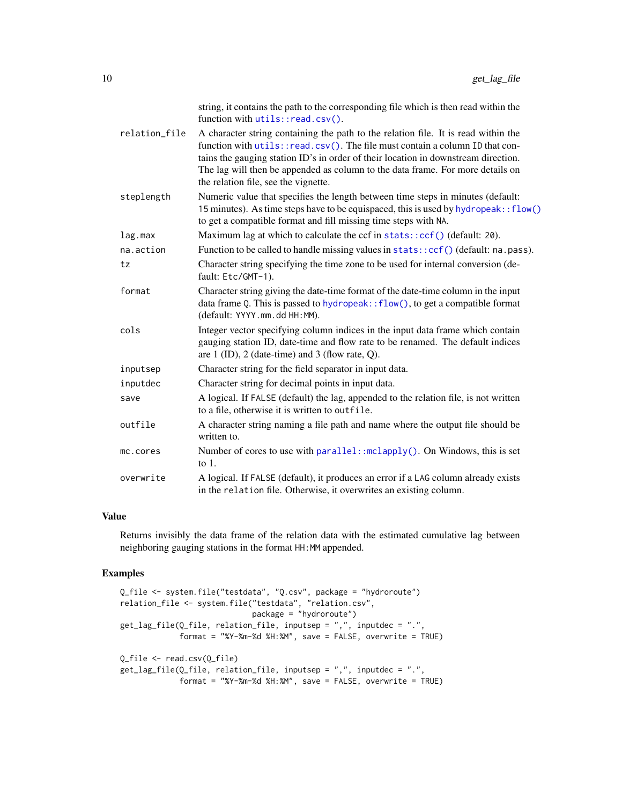<span id="page-9-0"></span>

|               | string, it contains the path to the corresponding file which is then read within the<br>function with utils::read.csv().                                                                                                                                                                                                                                                           |
|---------------|------------------------------------------------------------------------------------------------------------------------------------------------------------------------------------------------------------------------------------------------------------------------------------------------------------------------------------------------------------------------------------|
| relation_file | A character string containing the path to the relation file. It is read within the<br>function with utils::read.csv(). The file must contain a column ID that con-<br>tains the gauging station ID's in order of their location in downstream direction.<br>The lag will then be appended as column to the data frame. For more details on<br>the relation file, see the vignette. |
| steplength    | Numeric value that specifies the length between time steps in minutes (default:<br>15 minutes). As time steps have to be equispaced, this is used by hydropeak:: flow()<br>to get a compatible format and fill missing time steps with NA.                                                                                                                                         |
| lag.max       | Maximum lag at which to calculate the ccf in stats:: ccf() (default: 20).                                                                                                                                                                                                                                                                                                          |
| na.action     | Function to be called to handle missing values in stats:: ccf() (default: na.pass).                                                                                                                                                                                                                                                                                                |
| tz            | Character string specifying the time zone to be used for internal conversion (de-<br>fault: Etc/GMT-1).                                                                                                                                                                                                                                                                            |
| format        | Character string giving the date-time format of the date-time column in the input<br>data frame Q. This is passed to hydropeak:: flow(), to get a compatible format<br>(default: YYYY.mm.dd HH:MM).                                                                                                                                                                                |
| cols          | Integer vector specifying column indices in the input data frame which contain<br>gauging station ID, date-time and flow rate to be renamed. The default indices<br>are $1$ (ID), $2$ (date-time) and $3$ (flow rate, Q).                                                                                                                                                          |
| inputsep      | Character string for the field separator in input data.                                                                                                                                                                                                                                                                                                                            |
| inputdec      | Character string for decimal points in input data.                                                                                                                                                                                                                                                                                                                                 |
| save          | A logical. If FALSE (default) the lag, appended to the relation file, is not written<br>to a file, otherwise it is written to outfile.                                                                                                                                                                                                                                             |
| outfile       | A character string naming a file path and name where the output file should be<br>written to.                                                                                                                                                                                                                                                                                      |
| mc.cores      | Number of cores to use with parallel:: mclapply(). On Windows, this is set<br>to $1$ .                                                                                                                                                                                                                                                                                             |
| overwrite     | A logical. If FALSE (default), it produces an error if a LAG column already exists<br>in the relation file. Otherwise, it overwrites an existing column.                                                                                                                                                                                                                           |

#### Value

Returns invisibly the data frame of the relation data with the estimated cumulative lag between neighboring gauging stations in the format HH:MM appended.

#### Examples

```
Q_file <- system.file("testdata", "Q.csv", package = "hydroroute")
relation_file <- system.file("testdata", "relation.csv",
                            package = "hydroroute")
get_lag_file(Q_file, relation_file, inputsep = ",", inputdec = ".",
            format = "%Y-%m-%d %H:%M", save = FALSE, overwrite = TRUE)
Q_file <- read.csv(Q_file)
get_lag_file(Q_file, relation_file, inputsep = ",", inputdec = ".",
             format = "%Y-%m-%d %H:%M", save = FALSE, overwrite = TRUE)
```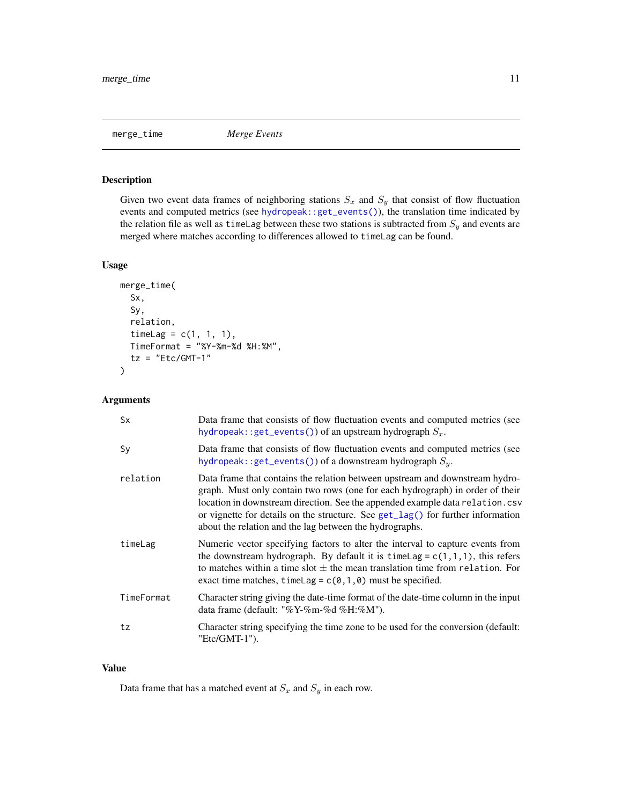<span id="page-10-0"></span>

# Description

Given two event data frames of neighboring stations  $S_x$  and  $S_y$  that consist of flow fluctuation events and computed metrics (see [hydropeak::get\\_events\(\)](#page-0-0)), the translation time indicated by the relation file as well as timeLag between these two stations is subtracted from  $S_y$  and events are merged where matches according to differences allowed to timeLag can be found.

#### Usage

```
merge_time(
  Sx,
  Sy,
  relation,
  timeLag = c(1, 1, 1),TimeFormat = "%Y-%m-%d %H:%M",
  tz = "Etc/GMT-1")
```
#### Arguments

| <b>Sx</b>  | Data frame that consists of flow fluctuation events and computed metrics (see<br>hydropeak::get_events()) of an upstream hydrograph $S_x$ .                                                                                                                                                                                                                                                    |
|------------|------------------------------------------------------------------------------------------------------------------------------------------------------------------------------------------------------------------------------------------------------------------------------------------------------------------------------------------------------------------------------------------------|
| Sy         | Data frame that consists of flow fluctuation events and computed metrics (see<br>hydropeak::get_events()) of a downstream hydrograph $S_u$ .                                                                                                                                                                                                                                                   |
| relation   | Data frame that contains the relation between upstream and downstream hydro-<br>graph. Must only contain two rows (one for each hydrograph) in order of their<br>location in downstream direction. See the appended example data relation.csv<br>or vignette for details on the structure. See $get\_lag()$ for further information<br>about the relation and the lag between the hydrographs. |
| timeLag    | Numeric vector specifying factors to alter the interval to capture events from<br>the downstream hydrograph. By default it is timelag = $c(1,1,1)$ , this refers<br>to matches within a time slot $\pm$ the mean translation time from relation. For<br>exact time matches, time Lag = $c(0, 1, 0)$ must be specified.                                                                         |
| TimeFormat | Character string giving the date-time format of the date-time column in the input<br>data frame (default: "%Y-%m-%d %H:%M").                                                                                                                                                                                                                                                                   |
| tz         | Character string specifying the time zone to be used for the conversion (default:<br>"Etc/GMT-1").                                                                                                                                                                                                                                                                                             |

#### Value

Data frame that has a matched event at  $S_x$  and  $S_y$  in each row.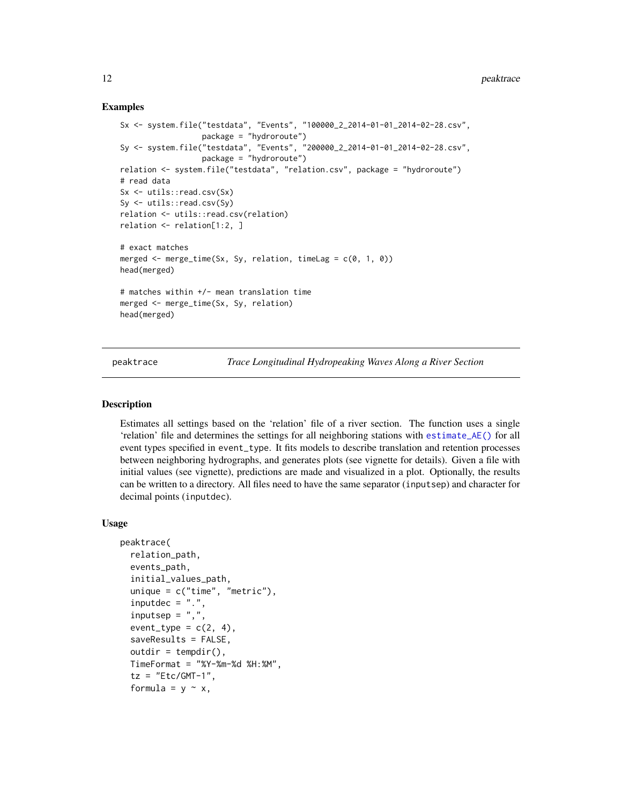#### Examples

```
Sx <- system.file("testdata", "Events", "100000_2_2014-01-01_2014-02-28.csv",
                  package = "hydroroute")
Sy <- system.file("testdata", "Events", "200000_2_2014-01-01_2014-02-28.csv",
                  package = "hydroroute")
relation <- system.file("testdata", "relation.csv", package = "hydroroute")
# read data
Sx <- utils::read.csv(Sx)
Sy <- utils::read.csv(Sy)
relation <- utils::read.csv(relation)
relation <- relation[1:2, ]
# exact matches
merged \leq merge_time(Sx, Sy, relation, timeLag = c(\theta, 1, \theta))
head(merged)
# matches within +/- mean translation time
merged <- merge_time(Sx, Sy, relation)
head(merged)
```
<span id="page-11-1"></span>peaktrace *Trace Longitudinal Hydropeaking Waves Along a River Section*

#### **Description**

Estimates all settings based on the 'relation' file of a river section. The function uses a single 'relation' file and determines the settings for all neighboring stations with [estimate\\_AE\(\)](#page-1-1) for all event types specified in event\_type. It fits models to describe translation and retention processes between neighboring hydrographs, and generates plots (see vignette for details). Given a file with initial values (see vignette), predictions are made and visualized in a plot. Optionally, the results can be written to a directory. All files need to have the same separator (inputsep) and character for decimal points (inputdec).

#### Usage

```
peaktrace(
  relation_path,
  events_path,
  initial_values_path,
  unique = c("time", "metric"),inputdec = "."inputsep = ","event_type = c(2, 4),
  saveResults = FALSE,
  outdir = tempdir(),
  TimeFormat = "%Y-%m-%d %H:%M",
  tz = "Etc/GMT-1",formula = y \sim x,
```
<span id="page-11-0"></span>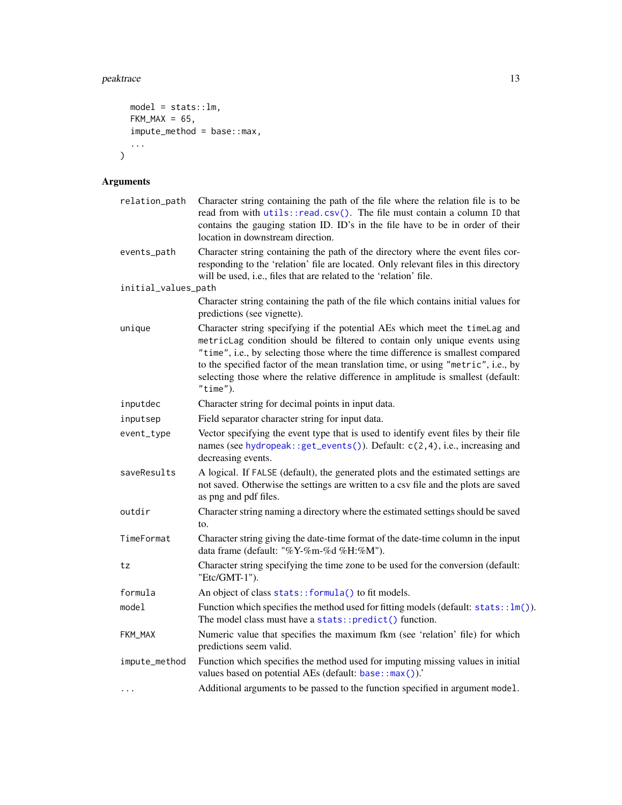#### <span id="page-12-0"></span>peaktrace and the set of the set of the set of the set of the set of the set of the set of the set of the set of the set of the set of the set of the set of the set of the set of the set of the set of the set of the set of

```
model = stats::lm,FKM_MAX = 65,
  \overline{\text{impute\_method}} = \text{base} : \text{max},
  ...
\mathcal{L}
```
# Arguments

| relation_path       | Character string containing the path of the file where the relation file is to be<br>read from with utils::read.csv(). The file must contain a column ID that<br>contains the gauging station ID. ID's in the file have to be in order of their<br>location in downstream direction.                                                                                                                                              |
|---------------------|-----------------------------------------------------------------------------------------------------------------------------------------------------------------------------------------------------------------------------------------------------------------------------------------------------------------------------------------------------------------------------------------------------------------------------------|
| events_path         | Character string containing the path of the directory where the event files cor-<br>responding to the 'relation' file are located. Only relevant files in this directory<br>will be used, i.e., files that are related to the 'relation' file.                                                                                                                                                                                    |
| initial_values_path |                                                                                                                                                                                                                                                                                                                                                                                                                                   |
|                     | Character string containing the path of the file which contains initial values for<br>predictions (see vignette).                                                                                                                                                                                                                                                                                                                 |
| unique              | Character string specifying if the potential AEs which meet the timeLag and<br>metricLag condition should be filtered to contain only unique events using<br>"time", i.e., by selecting those where the time difference is smallest compared<br>to the specified factor of the mean translation time, or using "metric", i.e., by<br>selecting those where the relative difference in amplitude is smallest (default:<br>"time"). |
| inputdec            | Character string for decimal points in input data.                                                                                                                                                                                                                                                                                                                                                                                |
| inputsep            | Field separator character string for input data.                                                                                                                                                                                                                                                                                                                                                                                  |
| event_type          | Vector specifying the event type that is used to identify event files by their file<br>names (see hydropeak::get_events()). Default: c(2,4), i.e., increasing and<br>decreasing events.                                                                                                                                                                                                                                           |
| saveResults         | A logical. If FALSE (default), the generated plots and the estimated settings are<br>not saved. Otherwise the settings are written to a csv file and the plots are saved<br>as png and pdf files.                                                                                                                                                                                                                                 |
| outdir              | Character string naming a directory where the estimated settings should be saved<br>to.                                                                                                                                                                                                                                                                                                                                           |
| TimeFormat          | Character string giving the date-time format of the date-time column in the input<br>data frame (default: "%Y-%m-%d %H:%M").                                                                                                                                                                                                                                                                                                      |
| tz                  | Character string specifying the time zone to be used for the conversion (default:<br>"Etc/GMT-1").                                                                                                                                                                                                                                                                                                                                |
| formula             | An object of class stats:: formula() to fit models.                                                                                                                                                                                                                                                                                                                                                                               |
| model               | Function which specifies the method used for fitting models (default: stats:: lm()).<br>The model class must have a stats::predict() function.                                                                                                                                                                                                                                                                                    |
| FKM_MAX             | Numeric value that specifies the maximum fkm (see 'relation' file) for which<br>predictions seem valid.                                                                                                                                                                                                                                                                                                                           |
| impute_method       | Function which specifies the method used for imputing missing values in initial<br>values based on potential AEs (default: base:: max()).'                                                                                                                                                                                                                                                                                        |
| .                   | Additional arguments to be passed to the function specified in argument model.                                                                                                                                                                                                                                                                                                                                                    |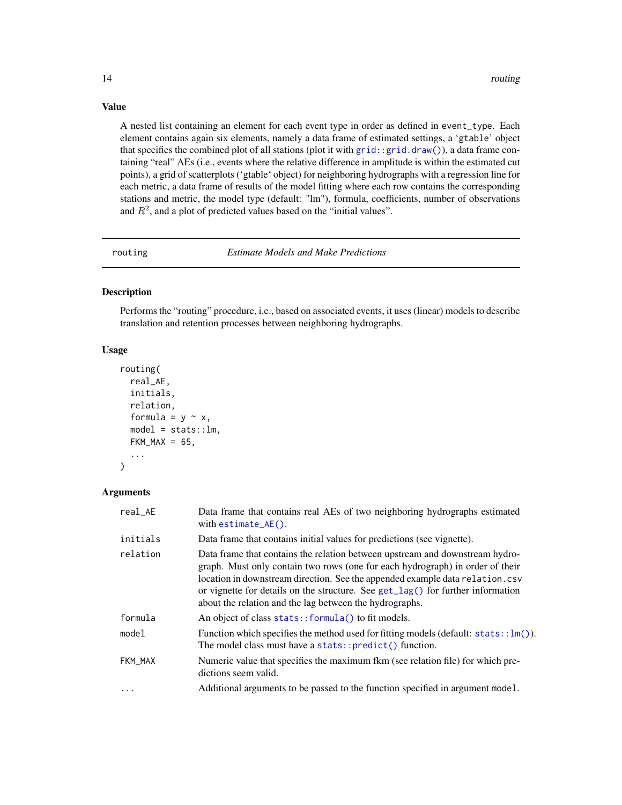A nested list containing an element for each event type in order as defined in event\_type. Each element contains again six elements, namely a data frame of estimated settings, a 'gtable' object that specifies the combined plot of all stations (plot it with [grid::grid.draw\(\)](#page-0-0)), a data frame containing "real" AEs (i.e., events where the relative difference in amplitude is within the estimated cut points), a grid of scatterplots ('gtable' object) for neighboring hydrographs with a regression line for each metric, a data frame of results of the model fitting where each row contains the corresponding stations and metric, the model type (default: "lm"), formula, coefficients, number of observations and  $R<sup>2</sup>$ , and a plot of predicted values based on the "initial values".

routing *Estimate Models and Make Predictions*

# Description

Performs the "routing" procedure, i.e., based on associated events, it uses (linear) models to describe translation and retention processes between neighboring hydrographs.

#### Usage

```
routing(
  real_AE,
  initials,
  relation,
  formula = y \sim x,
 model = stats::lm,FKM_MAX = 65,
  ...
)
```
#### Arguments

| real AE  | Data frame that contains real AEs of two neighboring hydrographs estimated<br>with $estimate_AE()$ .                                                                                                                                                                                                                                                                                           |
|----------|------------------------------------------------------------------------------------------------------------------------------------------------------------------------------------------------------------------------------------------------------------------------------------------------------------------------------------------------------------------------------------------------|
| initials | Data frame that contains initial values for predictions (see vignette).                                                                                                                                                                                                                                                                                                                        |
| relation | Data frame that contains the relation between upstream and downstream hydro-<br>graph. Must only contain two rows (one for each hydrograph) in order of their<br>location in downstream direction. See the appended example data relation.csv<br>or vignette for details on the structure. See $get\_lag()$ for further information<br>about the relation and the lag between the hydrographs. |
| formula  | An object of class stats:: formula() to fit models.                                                                                                                                                                                                                                                                                                                                            |
| model    | Function which specifies the method used for fitting models (default: $stats: \ldots \ln($ )).<br>The model class must have a stats::predict() function.                                                                                                                                                                                                                                       |
| FKM_MAX  | Numeric value that specifies the maximum fkm (see relation file) for which pre-<br>dictions seem valid.                                                                                                                                                                                                                                                                                        |
| $\cdots$ | Additional arguments to be passed to the function specified in argument model.                                                                                                                                                                                                                                                                                                                 |

<span id="page-13-0"></span>

#### Value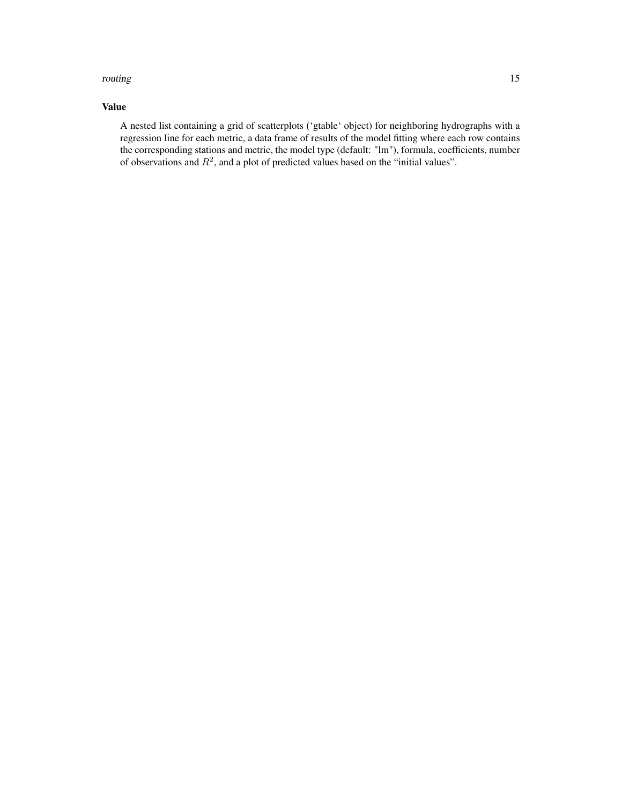#### routing the state of the state of the state of the state of the state of the state of the state of the state of the state of the state of the state of the state of the state of the state of the state of the state of the st

# Value

A nested list containing a grid of scatterplots ('gtable' object) for neighboring hydrographs with a regression line for each metric, a data frame of results of the model fitting where each row contains the corresponding stations and metric, the model type (default: "lm"), formula, coefficients, number of observations and  $R^2$ , and a plot of predicted values based on the "initial values".